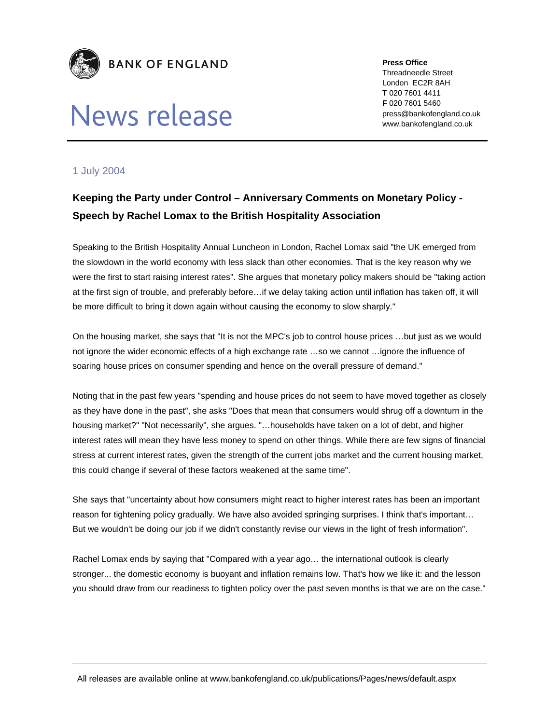

## News release

**Press Office**  Threadneedle Street London EC2R 8AH **T** 020 7601 4411 **F** 020 7601 5460 press@bankofengland.co.uk www.bankofengland.co.uk

## 1 July 2004

## **Keeping the Party under Control – Anniversary Comments on Monetary Policy - Speech by Rachel Lomax to the British Hospitality Association**

Speaking to the British Hospitality Annual Luncheon in London, Rachel Lomax said "the UK emerged from the slowdown in the world economy with less slack than other economies. That is the key reason why we were the first to start raising interest rates". She argues that monetary policy makers should be "taking action at the first sign of trouble, and preferably before…if we delay taking action until inflation has taken off, it will be more difficult to bring it down again without causing the economy to slow sharply."

On the housing market, she says that "It is not the MPC's job to control house prices …but just as we would not ignore the wider economic effects of a high exchange rate …so we cannot …ignore the influence of soaring house prices on consumer spending and hence on the overall pressure of demand."

Noting that in the past few years "spending and house prices do not seem to have moved together as closely as they have done in the past", she asks "Does that mean that consumers would shrug off a downturn in the housing market?" "Not necessarily", she argues. "…households have taken on a lot of debt, and higher interest rates will mean they have less money to spend on other things. While there are few signs of financial stress at current interest rates, given the strength of the current jobs market and the current housing market, this could change if several of these factors weakened at the same time".

She says that "uncertainty about how consumers might react to higher interest rates has been an important reason for tightening policy gradually. We have also avoided springing surprises. I think that's important… But we wouldn't be doing our job if we didn't constantly revise our views in the light of fresh information".

Rachel Lomax ends by saying that "Compared with a year ago… the international outlook is clearly stronger... the domestic economy is buoyant and inflation remains low. That's how we like it: and the lesson you should draw from our readiness to tighten policy over the past seven months is that we are on the case."